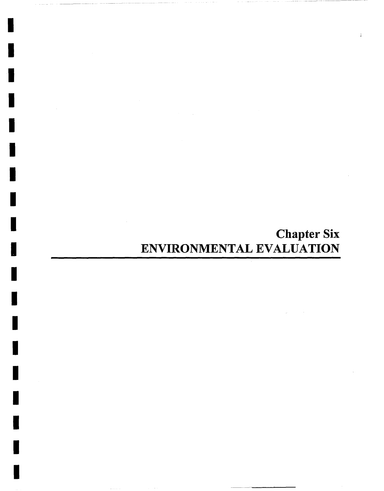# **Chapter Six**  ENVIRONMENTAL EVALUATION

 $\frac{1}{2}$ 

I

I

I

I

I

I

I

I

I

I

I

I

I

I

I

I

I

I

I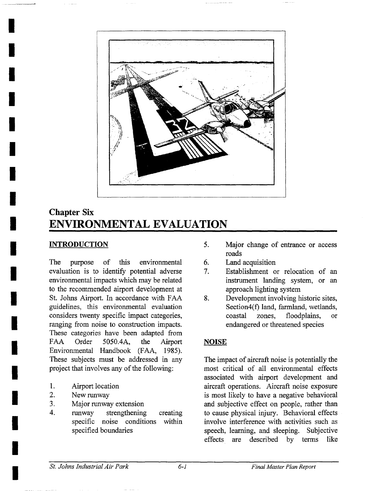

## **Chapter Six ENVIRONMENTAL EVALUATION**

#### **INTRODUCTION**

**I** 

**!** 

**I** 

**I** 

**I** 

**I** 

**I** 

**i** 

**I** 

**I** 

**I** 

**I** 

**I** 

**I** 

**!** 

**I** 

**I** 

**I** 

The purpose of this environmental evaluation is to identify potential adverse environmental impacts which may be related to the recommended airport development at St. Johns Airport. In accordance with FAA guidelines, this environmental evaluation considers twenty specific impact categories, ranging from noise to construction impacts. These categories have been adapted from FAA Order 5050.4A, the Airport Environmental Handbook (FAA, 1985). These subjects must be addressed in any project that involves any of the following:

- ° Airport location
- 2. New runway
- 3. Major runway extension
- 4. runway strengthening specific noise conditions within specified boundaries creating
- $5<sub>1</sub>$ Major change of entrance or access roads
- 6. Land acquisition
- 7. Establishment or relocation of an instrument landing system, or an approach lighting system
- **.**  Development involving historic sites, Section4(f) land, farmland, wetlands, coastal zones, floodplains, or endangered or threatened species

### **NOISE**

The impact of aircraft noise is potentially the most critical of all environmental effects associated with airport development and aircraft operations. Aircraft noise exposure is most likely to have a negative behavioral and subjective effect on people, rather than to cause physical injury. Behavioral effects involve interference with activities such as speech, learning, and sleeping. Subjective effects are described by terms like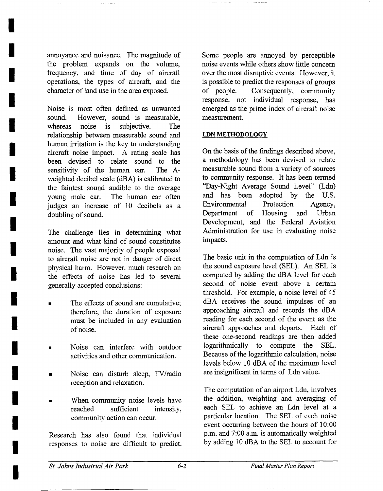annoyance and nuisance. The magnitude of the problem expands on the volume, frequency, and time of day of aircraft operations, the types of aircraft, and the character of land use in the area exposed.

**!** 

**I** 

**I** 

**!** 

**I** 

**I** 

**I** 

**i** 

**I** 

**I** 

**I** 

**I** 

**I** 

**I** 

**I** 

**I** 

**i** 

**I** 

**!** 

Noise is most often defined as unwanted sound. However, sound is measurable, whereas noise is subjective. The relationship between measurable sound and human irritation is the key to understanding aircraft noise impact. A rating scale has been devised to relate sound to the sensitivity of the human ear. The Aweighted decibel scale (dBA) is calibrated to the faintest sound audible to the average young male ear. The human ear often judges an increase of 10 decibels as a doubling of sound.

The challenge lies in determining what amount and what kind of sound constitutes noise. The vast majority of people exposed to aircraft noise are not in danger of direct physical harm. However, much research on the effects of noise has led to several generally accepted conclusions:

- The effects of sound are cumulative: therefore, the duration of exposure must be included in any evaluation of noise.
- Noise can interfere with outdoor activities and other communication.
- Noise can disturb sleep, TV/radio reception and relaxation.
- When community noise levels have reached sufficient intensity, community action can occur.

Research has also found that individual responses to noise are difficult to predict. Some people are annoyed by perceptible noise events while others show little concem over the most disruptive events. However, it is possible to predict the responses of groups of people. Consequently, community response, not individual response, has emerged as the prime index of aircraft noise measurement.

#### LDN METHODOLOGY

On the basis of the findings described above, a methodology has been devised to relate measurable sound from a variety of sources to community response. It has been termed "Day-Night Average Sound Level" (Ldn) and has been adopted by the U.S. Environmental Protection Agency, Department of Housing and Urban Development, and the Federal Aviation Administration for use in evaluating noise impacts.

The basic unit in the computation of Ldn is the sound exposure level (SEL). An SEL is computed by adding the dBA level for each second of noise event above a certain threshold. For example, a noise level of 45 dBA receives the sound impulses of an approaching aircraft and records the dBA reading for each second of the event as the aircraft approaches and departs. Each of these one-second readings are then added logarithmically to compute the SEL. Because of the logarithmic calculation, noise levels below 10 dBA of the maximum level are insignificant in terms of Ldn value.

The computation of an airport Ldn, involves the addition, weighting and averaging of each SEL to achieve an Ldn level at a particular location. The SEL of each noise event occurring between the hours of 10:00 p.m. and 7:00 a.m. is automatically weighted by adding 10 dBA to the SEL to account for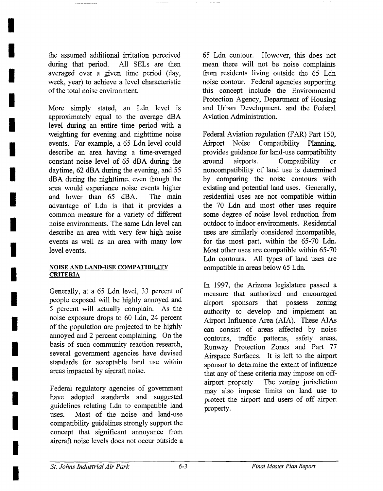the assumed additional irritation perceived during that period. All SELs are then averaged over a given time period (day, week, year) to achieve a level characteristic of the total noise environment.

**I** 

**I** 

**I** 

**I** 

**I** 

**I** 

**I** 

**I** 

**I** 

**I** 

**I** 

**I** 

**I** 

**I** 

**I** 

**I** 

**I** 

**I** 

**I** 

More simply stated, an Ldn level is approximately equal to the average dBA level during an entire time period with a weighting for evening and nighttime noise events. For example, a 65 Ldn level could describe an area having a time-averaged constant noise level of 65 dBA during the daytime, 62 dBA during the evening, and 55 dBA during the nighttime, even though the area would experience noise events higher and lower than 65 dBA. The main advantage of Ldn is that it provides a common measure for a variety of different noise environments. The same Ldn level can describe an area with very few high noise events as well as an area with many low level events.

#### **NOISE AND LAND-USE COMPATIBILITY CRITERIA**

Generally, at a 65 Ldn level, 33 percent of people exposed will be highly annoyed and 5 percent will actually complain. As the noise exposure drops to 60 Ldn, 24 percent of the population are projected to be highly annoyed and 2 percent complaining. On the basis of such community reaction research, several government agencies have devised standards for acceptable land use within areas impacted by aircraft noise.

Federal regulatory agencies of government have adopted standards and suggested guidelines relating Ldn to compatible land uses. Most of the noise and land-use compatibility guidelines strongly support the concept that significant annoyance from aircraft noise levels does not occur outside a

65 Ldn contour. However, this does not mean there will not be noise complaints from residents living outside the 65 Ldn noise contour. Federal agencies supporting this concept include the Environmental Protection Agency, Department of Housing and Urban Development, and the Federal Aviation Administration.

Federal Aviation regulation (FAR) Part 150, Airport Noise Compatibility Planning, provides guidance for land-use compatibility around airports. Compatibility or noncompatibility of land use is determined by comparing the noise contours with existing and potential land uses. Generally, residential uses are not compatible within the 70 Ldn and most other uses require some degree of noise level reduction from outdoor to indoor environments. Residential uses are similarly considered incompatible, for the most part, within the 65-70 Ldn. Most other uses are compatible within 65-70 Ldn contours. All types of land uses are compatible in areas below 65 Ldn.

In 1997, the Arizona legislature passed a measure that authorized and encouraged airport sponsors that possess zoning authority to develop and implement an Airport Influence Area (AIA). These AIAs can consist of areas affected by noise contours, traffic pattems, safety areas, Runway Protection Zones and Part 77 Airspace Surfaces. It is left to the airport sponsor to determine the extent of influence that any of these criteria may impose on offairport property. The zoning jurisdiction may also impose limits on land use to protect the airport and users of off airport property.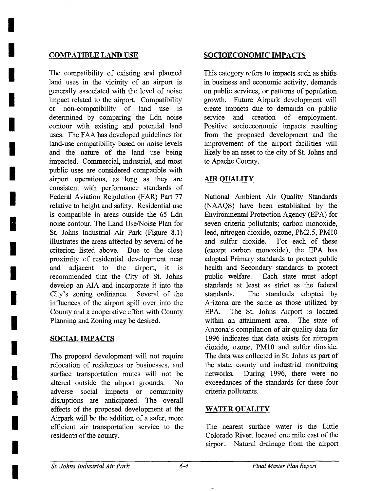**I** 

**I** 

**I** 

**I** 

**i** 

**I** 

**I** 

**I** 

**I** 

**I** 

**I** 

**I** 

**I** 

**I** 

**!** 

**I** 

**I** 

**I** 

**I** 

The compatibility of existing and planned land uses in the vicinity of an airport is generally associated with the level of noise impact related to the airport. Compatibility or non-compatibility of land use is determined by comparing the Ldn noise contour with existing and potential land uses. The FAA has developed guidelines for land-use compatibility based on noise levels and the nature of the land use being impacted. Commercial, industrial, and most public uses are considered compatible with airport operations, as long as they are consistent with performance standards of Federal Aviation Regulation (FAR) Part 77 relative to height and safety. Residential use is compatible in areas outside the 65 Ldn noise contour. The Land Use/Noise Plan for St. Johns Industrial Air Park (Figure 8.1) illustrates the areas affected by several of he criterion listed above. Due to the close proximity of residential development near and adjacent to the airport, it is recommended that the City of St. Johns develop an AIA and incorporate it into the City's zoning ordinance. Several of the influences of the airport spill over into the County and a cooperative effort with County Planning and Zoning may be desired.

#### SOCIAL IMPACTS

The proposed development will not require relocation of residences or businesses, and surface transportation routes will not be altered outside the airport grounds. No adverse social impacts or community disruptions are anticipated. The overall effects of the proposed development at the Airpark will be the addition of a safer, more efficient air transportation service to the residents of the county.

#### **COMPATIBLE LAND USE SOCIOECONOMIC IMPACTS**

This category refers to impacts such as shifts in business and economic activity, demands on public services, or patterns of population growth. Future Airpark development will create impacts due to demands on public service and creation of employment. Positive socioeconomic impacts resulting from the proposed development and the improvement of the airport facilities will likely be an asset to the city of St. Johns and to Apache County.

### AIR QUALITY

National Ambient Air Quality Standards (NAAQS) have been established by the Environmental Protection Agency (EPA) for seven criteria pollutants; carbon monoxide, lead, nitrogen dioxide, ozone, PM2.5, PM10 and sulfur dioxide. For each of these (except carbon monoxide), the EPA has adopted Primary standards to protect public health and Secondary standards to protect public welfare. Each state must adopt standards at least as strict as the federal standards. The standards adopted by Arizona are the same as those utilized by EPA. The St. Johns Airport is located within an attainment area. The state of Arizona's compilation of air quality data for 1996 indicates that data exists for nitrogen dioxide, ozone, PM10 and sulfur dioxide. The data was collected in St. Johns as part of the state, county and industrial monitoring networks. During 1996, there were no exceedances of the standards for these four criteria pollutants.

#### WATER QUALITY

The nearest surface water is the Little Colorado River, located one mile east of the airport. Natural drainage from the airport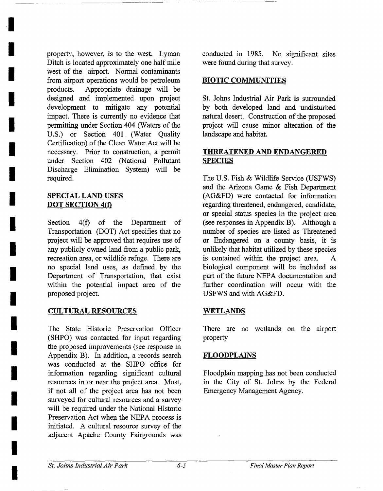property, however, is to the west. Lyman Ditch is located approximately one half mile west of the airport. Normal contaminants from airport operations would be petroleum products. Appropriate drainage will be designed and implemented upon project development to mitigate any potential impact. There is currently no evidence that permitting under Section 404 (Waters of the U.S.) or Section 401 (Water Quality Certification) of the Clean Water Act will be necessary. Prior to construction, a permit under Section 402 (National Pollutant Discharge Elimination System) will be required.

#### SPECIAL LAND USES **DOT** SECTION 4(t)

**I** 

**I** 

**I** 

**I** 

**I** 

**!** 

**I** 

**i** 

**I** 

**I** 

**I** 

**i** 

**I** 

**I** 

**I** 

**!** 

**I** 

**I** 

**I** 

Section 4(f) of the Department of Transportation (DOT) Act specifies that no project will be approved that requires use of any publicly owned land from a public park, recreation area, or wildlife refuge. There are no special land uses, as defined by the Department of Transportation, that exist within the potential impact area of the proposed project.

#### CULTURAL RESOURCES **WETLANDS**

The State Historic Preservation Officer (SHPO) was contacted for input regarding the proposed improvements (see response in Appendix B). In addition, a records search was conducted at the SHPO office for information regarding significant cultural resources in or near the project area. Most, if not all of the project area has not been surveyed for cultural resources and a survey will be required under the National Historic Preservation Act when the NEPA process is initiated. A cultural resource survey of the adjacent Apache County Fairgrounds was conducted in 1985. No significant sites were found during that survey.

#### BIOTIC COMMUNITIES

St. Johns Industrial Air Park is surrounded by both developed land and undisturbed natural desert. Construction of the proposed project will cause minor alteration of the landscape and habitat.

#### **THREATENED AND ENDANGERED SPECIES**

The U.S. Fish & Wildlife Service (USFWS) and the Arizona Game & Fish Department (AG&FD) were contacted for information regarding threatened, endangered, candidate, or special status species in the project area (see responses in Appendix B). Although a number of species are listed as Threatened or Endangered on a county basis, it is unlikely that habitat utilized by these species is contained within the project area. A biological component will be included as part of the future NEPA documentation and further coordination will occur with the USFWS and with AG&FD.

There are no wetlands on the airport property

#### **FLOODPLAINS**

Floodplain mapping has not been conducted in the City of St. Johns by the Federal Emergency Management Agency.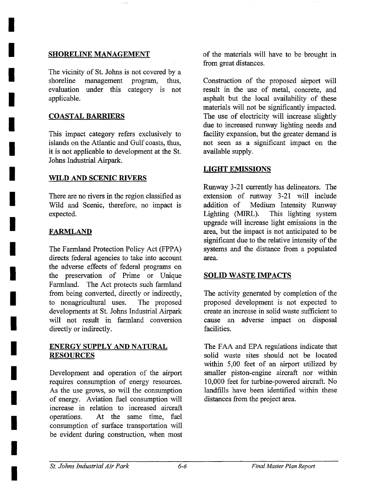#### SHORELINE MANAGEMENT

The vicinity of St. Johns is not covered by a shoreline management program, thus, evaluation under this category is not applicable.

#### COASTAL BARRIERS

**I** 

**I** 

**I** 

**I** 

**I** 

**I** 

**I** 

**I** 

**I** 

**I** 

**I** 

**I** 

**I** 

**I** 

**I** 

**I** 

**I** 

**I** 

*I* 

This impact category refers exclusively to islands on the Atlantic and Gulf coasts, thus, it is not applicable to development at the St. Johns Industrial Airpark.

#### **WILD AND SCENIC RIVERS**

There are no rivers in the region classified as Wild and Scenic, therefore, no impact is expected.

#### **FARMLAND**

The Farmland Protection Policy Act (FPPA) directs federal agencies to take into account the adverse effects of federal programs on the preservation of Prime or Unique Farmland. The Act protects such farmland from being converted, directly or indirectly, to nonagricultural uses. The proposed developments at St. Johns Industrial Airpark will not result in farmland conversion directly or indirectly.

#### ENERGY SUPPLY AND NATURAL **RESOURCES**

Development and operation of the airport requires consumption of energy resources. As the use grows, so will the consumption of energy. Aviation fuel consumption will increase in relation to increased aircraft operations. At the same time, fuel consumption of surface transportation will be evident during construction, when most of the materials will have to be brought in from great distances.

Construction of the proposed airport will result in the use of metal, concrete, and asphalt but the local availability of these materials will not be significantly impacted. The use of electricity will increase slightly due to increased runway lighting needs and facility expansion, but the greater demand is not seen as a significant impact on the available supply.

#### **LIGHT EMISSIONS**

Runway 3-21 currently has delineators. The extension of runway 3-21 will include addition of Medium Intensity Runway Lighting (MIRL). This lighting system upgrade will increase light emissions in the area, but the impact is not anticipated to be significant due to the relative intensity of the systems and the distance from a populated area.

#### SOLID WASTE IMPACTS

The activity generated by completion of the proposed development is not expected to create an increase in solid waste sufficient to cause an adverse impact on disposal facilities.

The FAA and EPA regulations indicate that solid waste sites should not be located within 5,00 feet of an airport utilized by smaller piston-engine aircraft nor within 10,000 feet for turbine-powered aircraft. No landfills have been identified within these distances from the project area.